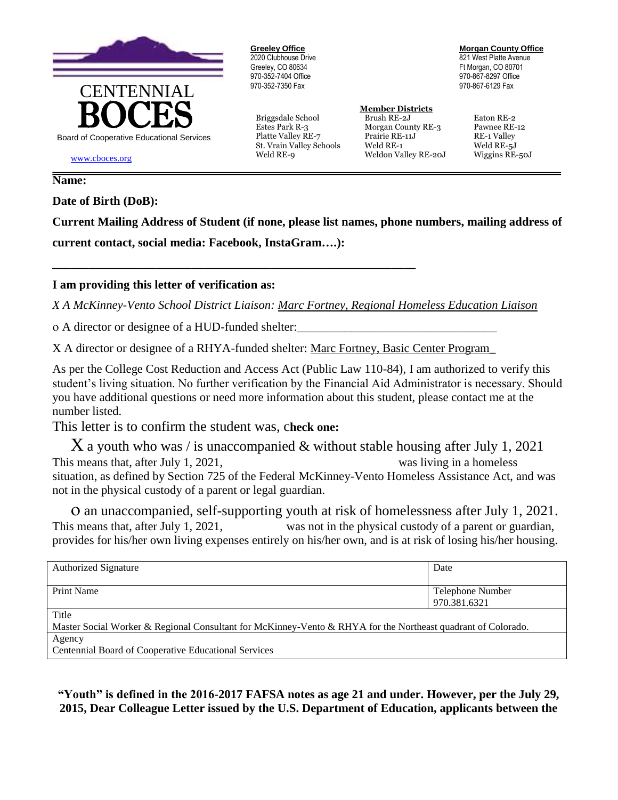

**Greeley Office** 2020 Clubhouse Drive Greeley, CO 80634 970-352-7404 Office 970-352-7350 Fax

Briggsdale School Brush RE-2J Eaton RE-2

**Morgan County Office** 821 West Platte Avenue Ft Morgan, CO 80701 970-867-8297 Office 970-867-6129 Fax

## **Member Districts**

Estes Park R-3 Morgan County RE-3 Pawnee RE-12 Platte Valley RE-7 Prairie RE-11J RE-1 Valley St. Vrain Valley Schools Weld RE-1 Weld RE-5J Weld RE-9 Weldon Valley RE-20J Wiggins RE-50J

www.cboces.org

## **Name:**

**Date of Birth (DoB):**

**Current Mailing Address of Student (if none, please list names, phone numbers, mailing address of current contact, social media: Facebook, InstaGram….):** 

## **I am providing this letter of verification as:**

*X A McKinney-Vento School District Liaison: Marc Fortney, Regional Homeless Education Liaison*

o A director or designee of a HUD-funded shelter:

X A director or designee of a RHYA-funded shelter: Marc Fortney, Basic Center Program\_

**\_\_\_\_\_\_\_\_\_\_\_\_\_\_\_\_\_\_\_\_\_\_\_\_\_\_\_\_\_\_\_\_\_\_\_\_\_\_\_\_\_\_\_\_\_\_\_\_\_\_\_\_\_\_\_\_\_\_\_\_**

As per the College Cost Reduction and Access Act (Public Law 110-84), I am authorized to verify this student's living situation. No further verification by the Financial Aid Administrator is necessary. Should you have additional questions or need more information about this student, please contact me at the number listed.

This letter is to confirm the student was, c**heck one:**

 $X$  a youth who was / is unaccompanied & without stable housing after July 1, 2021 This means that, after July 1, 2021, was living in a homeless situation, as defined by Section 725 of the Federal McKinney-Vento Homeless Assistance Act, and was not in the physical custody of a parent or legal guardian.

 an unaccompanied, self-supporting youth at risk of homelessness after July 1, 2021. This means that, after July 1, 2021, was not in the physical custody of a parent or guardian, provides for his/her own living expenses entirely on his/her own, and is at risk of losing his/her housing.

| <b>Authorized Signature</b>                                                                                  | Date             |
|--------------------------------------------------------------------------------------------------------------|------------------|
|                                                                                                              |                  |
| <b>Print Name</b>                                                                                            | Telephone Number |
|                                                                                                              | 970.381.6321     |
| Title                                                                                                        |                  |
| Master Social Worker & Regional Consultant for McKinney-Vento & RHYA for the Northeast quadrant of Colorado. |                  |
| Agency                                                                                                       |                  |
| Centennial Board of Cooperative Educational Services                                                         |                  |

**"Youth" is defined in the 2016-2017 FAFSA notes as age 21 and under. However, per the July 29, 2015, Dear Colleague Letter issued by the U.S. Department of Education, applicants between the**